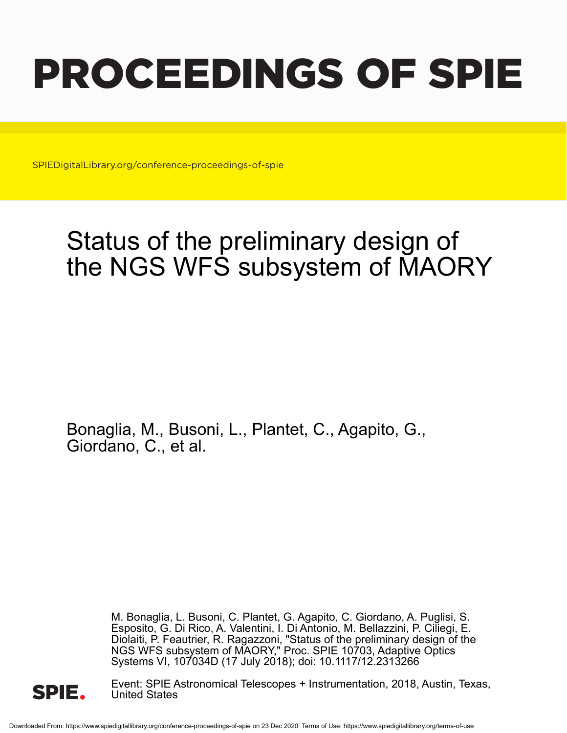# PROCEEDINGS OF SPIE

SPIEDigitalLibrary.org/conference-proceedings-of-spie

## Status of the preliminary design of the NGS WFS subsystem of MAORY

Bonaglia, M., Busoni, L., Plantet, C., Agapito, G., Giordano, C., et al.

> M. Bonaglia, L. Busoni, C. Plantet, G. Agapito, C. Giordano, A. Puglisi, S. Esposito, G. Di Rico, A. Valentini, I. Di Antonio, M. Bellazzini, P. Ciliegi, E. Diolaiti, P. Feautrier, R. Ragazzoni, "Status of the preliminary design of the NGS WFS subsystem of MAORY," Proc. SPIE 10703, Adaptive Optics Systems VI, 107034D (17 July 2018); doi: 10.1117/12.2313266



Event: SPIE Astronomical Telescopes + Instrumentation, 2018, Austin, Texas, United States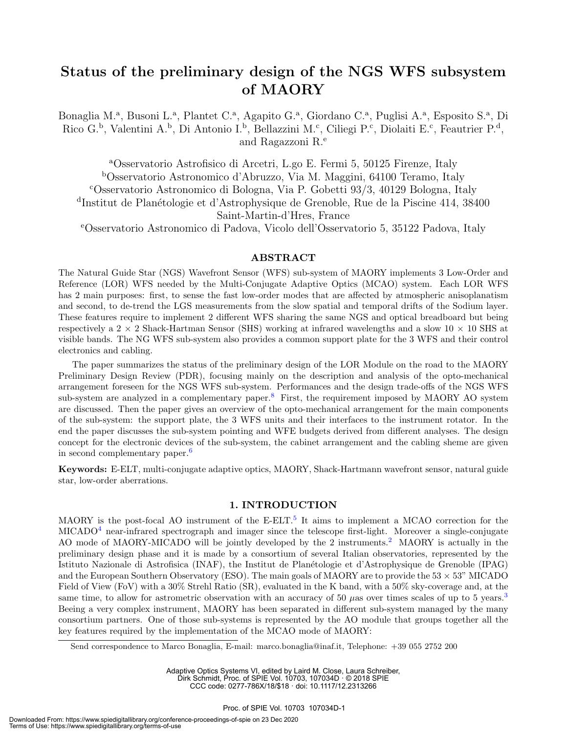### Status of the preliminary design of the NGS WFS subsystem of MAORY

Bonaglia M.ª, Busoni L.ª, Plantet C.ª, Agapito G.ª, Giordano C.ª, Puglisi A.ª, Esposito S.ª, Di Rico G.<sup>b</sup>, Valentini A.<sup>b</sup>, Di Antonio I.<sup>b</sup>, Bellazzini M.<sup>c</sup>, Ciliegi P.<sup>c</sup>, Diolaiti E.<sup>c</sup>, Feautrier P.<sup>d</sup>, and Ragazzoni R.<sup>e</sup>

<sup>a</sup>Osservatorio Astrofisico di Arcetri, L.go E. Fermi 5, 50125 Firenze, Italy <sup>b</sup>Osservatorio Astronomico d'Abruzzo, Via M. Maggini, 64100 Teramo, Italy <sup>c</sup>Osservatorio Astronomico di Bologna, Via P. Gobetti 93/3, 40129 Bologna, Italy <sup>d</sup>Institut de Planétologie et d'Astrophysique de Grenoble, Rue de la Piscine 414, 38400 Saint-Martin-d'Hres, France

<sup>e</sup>Osservatorio Astronomico di Padova, Vicolo dell'Osservatorio 5, 35122 Padova, Italy

#### ABSTRACT

The Natural Guide Star (NGS) Wavefront Sensor (WFS) sub-system of MAORY implements 3 Low-Order and Reference (LOR) WFS needed by the Multi-Conjugate Adaptive Optics (MCAO) system. Each LOR WFS has 2 main purposes: first, to sense the fast low-order modes that are affected by atmospheric anisoplanatism and second, to de-trend the LGS measurements from the slow spatial and temporal drifts of the Sodium layer. These features require to implement 2 different WFS sharing the same NGS and optical breadboard but being respectively a 2  $\times$  2 Shack-Hartman Sensor (SHS) working at infrared wavelengths and a slow 10  $\times$  10 SHS at visible bands. The NG WFS sub-system also provides a common support plate for the 3 WFS and their control electronics and cabling.

The paper summarizes the status of the preliminary design of the LOR Module on the road to the MAORY Preliminary Design Review (PDR), focusing mainly on the description and analysis of the opto-mechanical arrangement foreseen for the NGS WFS sub-system. Performances and the design trade-offs of the NGS WFS sub-system are analyzed in a complementary paper.<sup>8</sup> First, the requirement imposed by MAORY AO system are discussed. Then the paper gives an overview of the opto-mechanical arrangement for the main components of the sub-system: the support plate, the 3 WFS units and their interfaces to the instrument rotator. In the end the paper discusses the sub-system pointing and WFE budgets derived from different analyses. The design concept for the electronic devices of the sub-system, the cabinet arrangement and the cabling sheme are given in second complementary paper.<sup>6</sup>

Keywords: E-ELT, multi-conjugate adaptive optics, MAORY, Shack-Hartmann wavefront sensor, natural guide star, low-order aberrations.

#### 1. INTRODUCTION

MAORY is the post-focal AO instrument of the E-ELT.<sup>5</sup> It aims to implement a MCAO correction for the  $MICADO<sup>4</sup>$  near-infrared spectrograph and imager since the telescope first-light. Moreover a single-conjugate AO mode of MAORY-MICADO will be jointly developed by the 2 instruments.<sup>2</sup> MAORY is actually in the preliminary design phase and it is made by a consortium of several Italian observatories, represented by the Istituto Nazionale di Astrofisica (INAF), the Institut de Planétologie et d'Astrophysique de Grenoble (IPAG) and the European Southern Observatory (ESO). The main goals of MAORY are to provide the  $53 \times 53$ " MICADO Field of View (FoV) with a 30% Strehl Ratio (SR), evaluated in the K band, with a 50% sky-coverage and, at the same time, to allow for astrometric observation with an accuracy of 50  $\mu$ as over times scales of up to 5 years.<sup>3</sup> Beeing a very complex instrument, MAORY has been separated in different sub-system managed by the many consortium partners. One of those sub-systems is represented by the AO module that groups together all the key features required by the implementation of the MCAO mode of MAORY:

Send correspondence to Marco Bonaglia, E-mail: marco.bonaglia@inaf.it, Telephone: +39 055 2752 200

Adaptive Optics Systems VI, edited by Laird M. Close, Laura Schreiber, Dirk Schmidt, Proc. of SPIE Vol. 10703, 107034D · © 2018 SPIE CCC code: 0277-786X/18/\$18 · doi: 10.1117/12.2313266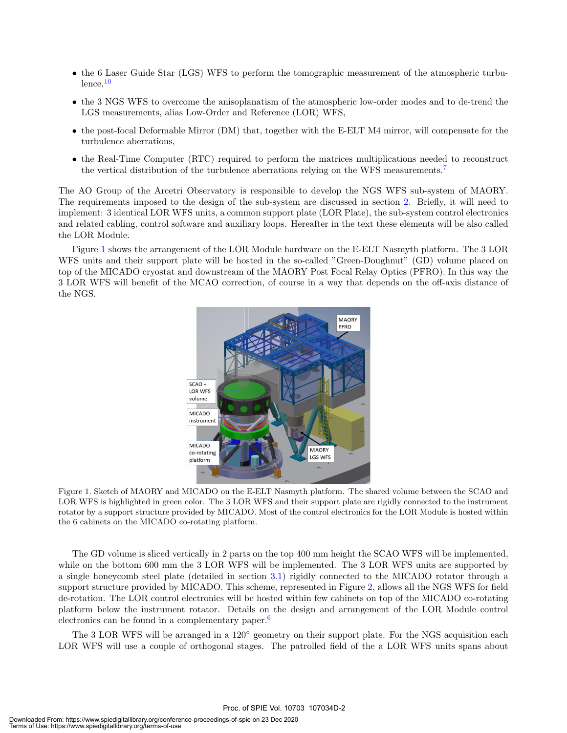- the 6 Laser Guide Star (LGS) WFS to perform the tomographic measurement of the atmospheric turbu $l$ ence, $10$
- the 3 NGS WFS to overcome the anisoplanatism of the atmospheric low-order modes and to de-trend the LGS measurements, alias Low-Order and Reference (LOR) WFS,
- the post-focal Deformable Mirror (DM) that, together with the E-ELT M4 mirror, will compensate for the turbulence aberrations,
- the Real-Time Computer (RTC) required to perform the matrices multiplications needed to reconstruct the vertical distribution of the turbulence aberrations relying on the WFS measurements.<sup>7</sup>

The AO Group of the Arcetri Observatory is responsible to develop the NGS WFS sub-system of MAORY. The requirements imposed to the design of the sub-system are discussed in section 2. Briefly, it will need to implement: 3 identical LOR WFS units, a common support plate (LOR Plate), the sub-system control electronics and related cabling, control software and auxiliary loops. Hereafter in the text these elements will be also called the LOR Module.

Figure 1 shows the arrangement of the LOR Module hardware on the E-ELT Nasmyth platform. The 3 LOR WFS units and their support plate will be hosted in the so-called "Green-Doughnut" (GD) volume placed on top of the MICADO cryostat and downstream of the MAORY Post Focal Relay Optics (PFRO). In this way the 3 LOR WFS will benefit of the MCAO correction, of course in a way that depends on the off-axis distance of the NGS.



Figure 1. Sketch of MAORY and MICADO on the E-ELT Nasmyth platform. The shared volume between the SCAO and LOR WFS is highlighted in green color. The 3 LOR WFS and their support plate are rigidly connected to the instrument rotator by a support structure provided by MICADO. Most of the control electronics for the LOR Module is hosted within the 6 cabinets on the MICADO co-rotating platform.

The GD volume is sliced vertically in 2 parts on the top 400 mm height the SCAO WFS will be implemented, while on the bottom 600 mm the 3 LOR WFS will be implemented. The 3 LOR WFS units are supported by a single honeycomb steel plate (detailed in section 3.1) rigidly connected to the MICADO rotator through a support structure provided by MICADO. This scheme, represented in Figure 2, allows all the NGS WFS for field de-rotation. The LOR control electronics will be hosted within few cabinets on top of the MICADO co-rotating platform below the instrument rotator. Details on the design and arrangement of the LOR Module control electronics can be found in a complementary paper. $6$ 

The 3 LOR WFS will be arranged in a 120◦ geometry on their support plate. For the NGS acquisition each LOR WFS will use a couple of orthogonal stages. The patrolled field of the a LOR WFS units spans about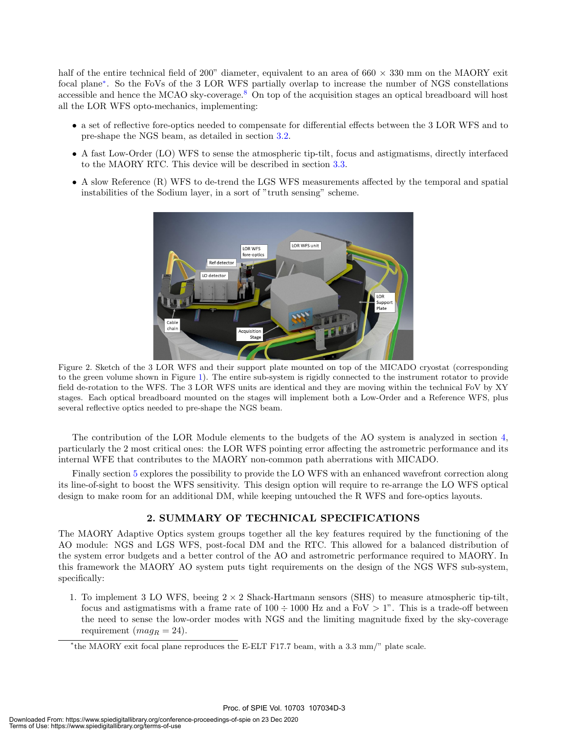half of the entire technical field of 200" diameter, equivalent to an area of  $660 \times 330$  mm on the MAORY exit focal plane<sup>∗</sup> . So the FoVs of the 3 LOR WFS partially overlap to increase the number of NGS constellations accessible and hence the MCAO sky-coverage.<sup>8</sup> On top of the acquisition stages an optical breadboard will host all the LOR WFS opto-mechanics, implementing:

- a set of reflective fore-optics needed to compensate for differential effects between the 3 LOR WFS and to pre-shape the NGS beam, as detailed in section 3.2.
- A fast Low-Order (LO) WFS to sense the atmospheric tip-tilt, focus and astigmatisms, directly interfaced to the MAORY RTC. This device will be described in section 3.3.
- A slow Reference (R) WFS to de-trend the LGS WFS measurements affected by the temporal and spatial instabilities of the Sodium layer, in a sort of "truth sensing" scheme.



Figure 2. Sketch of the 3 LOR WFS and their support plate mounted on top of the MICADO cryostat (corresponding to the green volume shown in Figure 1). The entire sub-system is rigidly connected to the instrument rotator to provide field de-rotation to the WFS. The 3 LOR WFS units are identical and they are moving within the technical FoV by XY stages. Each optical breadboard mounted on the stages will implement both a Low-Order and a Reference WFS, plus several reflective optics needed to pre-shape the NGS beam.

The contribution of the LOR Module elements to the budgets of the AO system is analyzed in section 4, particularly the 2 most critical ones: the LOR WFS pointing error affecting the astrometric performance and its internal WFE that contributes to the MAORY non-common path aberrations with MICADO.

Finally section 5 explores the possibility to provide the LO WFS with an enhanced wavefront correction along its line-of-sight to boost the WFS sensitivity. This design option will require to re-arrange the LO WFS optical design to make room for an additional DM, while keeping untouched the R WFS and fore-optics layouts.

#### 2. SUMMARY OF TECHNICAL SPECIFICATIONS

The MAORY Adaptive Optics system groups together all the key features required by the functioning of the AO module: NGS and LGS WFS, post-focal DM and the RTC. This allowed for a balanced distribution of the system error budgets and a better control of the AO and astrometric performance required to MAORY. In this framework the MAORY AO system puts tight requirements on the design of the NGS WFS sub-system, specifically:

1. To implement 3 LO WFS, beeing  $2 \times 2$  Shack-Hartmann sensors (SHS) to measure atmospheric tip-tilt, focus and astigmatisms with a frame rate of  $100 \div 1000$  Hz and a FoV  $> 1$ ". This is a trade-off between the need to sense the low-order modes with NGS and the limiting magnitude fixed by the sky-coverage requirement  $(mag_R = 24)$ .

<sup>∗</sup> the MAORY exit focal plane reproduces the E-ELT F17.7 beam, with a 3.3 mm/" plate scale.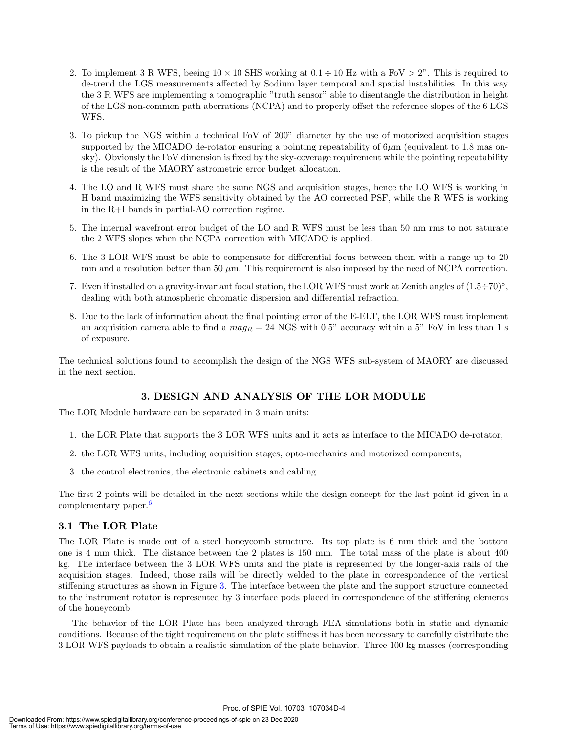- 2. To implement 3 R WFS, beeing  $10 \times 10$  SHS working at  $0.1 \div 10$  Hz with a FoV  $> 2$ ". This is required to de-trend the LGS measurements affected by Sodium layer temporal and spatial instabilities. In this way the 3 R WFS are implementing a tomographic "truth sensor" able to disentangle the distribution in height of the LGS non-common path aberrations (NCPA) and to properly offset the reference slopes of the 6 LGS WFS.
- 3. To pickup the NGS within a technical FoV of 200" diameter by the use of motorized acquisition stages supported by the MICADO de-rotator ensuring a pointing repeatability of  $6\mu$ m (equivalent to 1.8 mas onsky). Obviously the FoV dimension is fixed by the sky-coverage requirement while the pointing repeatability is the result of the MAORY astrometric error budget allocation.
- 4. The LO and R WFS must share the same NGS and acquisition stages, hence the LO WFS is working in H band maximizing the WFS sensitivity obtained by the AO corrected PSF, while the R WFS is working in the R+I bands in partial-AO correction regime.
- 5. The internal wavefront error budget of the LO and R WFS must be less than 50 nm rms to not saturate the 2 WFS slopes when the NCPA correction with MICADO is applied.
- 6. The 3 LOR WFS must be able to compensate for differential focus between them with a range up to 20 mm and a resolution better than 50  $\mu$ m. This requirement is also imposed by the need of NCPA correction.
- 7. Even if installed on a gravity-invariant focal station, the LOR WFS must work at Zenith angles of  $(1.5 \div 70)^\circ$ , dealing with both atmospheric chromatic dispersion and differential refraction.
- 8. Due to the lack of information about the final pointing error of the E-ELT, the LOR WFS must implement an acquisition camera able to find a  $mag_R = 24$  NGS with 0.5" accuracy within a 5" FoV in less than 1 s of exposure.

The technical solutions found to accomplish the design of the NGS WFS sub-system of MAORY are discussed in the next section.

#### 3. DESIGN AND ANALYSIS OF THE LOR MODULE

The LOR Module hardware can be separated in 3 main units:

- 1. the LOR Plate that supports the 3 LOR WFS units and it acts as interface to the MICADO de-rotator,
- 2. the LOR WFS units, including acquisition stages, opto-mechanics and motorized components,
- 3. the control electronics, the electronic cabinets and cabling.

The first 2 points will be detailed in the next sections while the design concept for the last point id given in a complementary paper.<sup>6</sup>

#### 3.1 The LOR Plate

The LOR Plate is made out of a steel honeycomb structure. Its top plate is 6 mm thick and the bottom one is 4 mm thick. The distance between the 2 plates is 150 mm. The total mass of the plate is about 400 kg. The interface between the 3 LOR WFS units and the plate is represented by the longer-axis rails of the acquisition stages. Indeed, those rails will be directly welded to the plate in correspondence of the vertical stiffening structures as shown in Figure 3. The interface between the plate and the support structure connected to the instrument rotator is represented by 3 interface pods placed in correspondence of the stiffening elements of the honeycomb.

The behavior of the LOR Plate has been analyzed through FEA simulations both in static and dynamic conditions. Because of the tight requirement on the plate stiffness it has been necessary to carefully distribute the 3 LOR WFS payloads to obtain a realistic simulation of the plate behavior. Three 100 kg masses (corresponding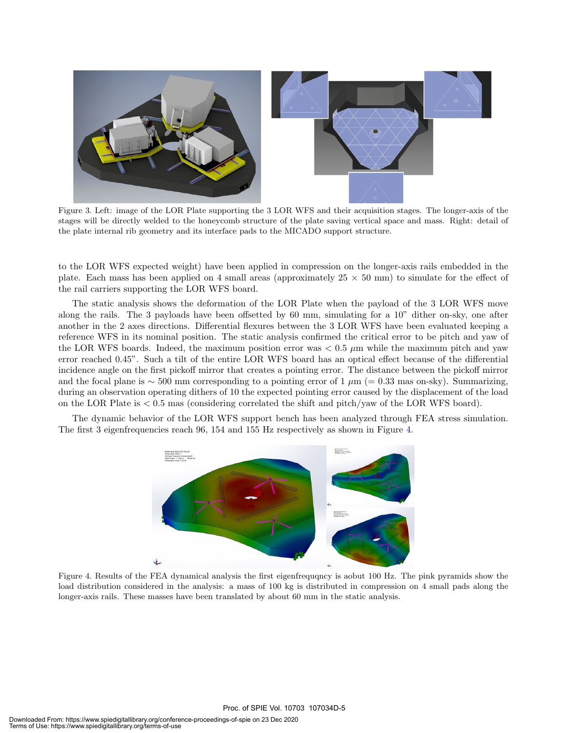

Figure 3. Left: image of the LOR Plate supporting the 3 LOR WFS and their acquisition stages. The longer-axis of the stages will be directly welded to the honeycomb structure of the plate saving vertical space and mass. Right: detail of the plate internal rib geometry and its interface pads to the MICADO support structure.

to the LOR WFS expected weight) have been applied in compression on the longer-axis rails embedded in the plate. Each mass has been applied on 4 small areas (approximately  $25 \times 50$  mm) to simulate for the effect of the rail carriers supporting the LOR WFS board.

The static analysis shows the deformation of the LOR Plate when the payload of the 3 LOR WFS move along the rails. The 3 payloads have been offsetted by 60 mm, simulating for a 10" dither on-sky, one after another in the 2 axes directions. Differential flexures between the 3 LOR WFS have been evaluated keeping a reference WFS in its nominal position. The static analysis confirmed the critical error to be pitch and yaw of the LOR WFS boards. Indeed, the maximum position error was  $< 0.5 \mu m$  while the maximum pitch and yaw error reached 0.45". Such a tilt of the entire LOR WFS board has an optical effect because of the differential incidence angle on the first pickoff mirror that creates a pointing error. The distance between the pickoff mirror and the focal plane is  $\sim$  500 mm corresponding to a pointing error of 1  $\mu$ m (= 0.33 mas on-sky). Summarizing, during an observation operating dithers of 10 the expected pointing error caused by the displacement of the load on the LOR Plate is < 0.5 mas (considering correlated the shift and pitch/yaw of the LOR WFS board).

The dynamic behavior of the LOR WFS support bench has been analyzed through FEA stress simulation. The first 3 eigenfrequencies reach 96, 154 and 155 Hz respectively as shown in Figure 4.



Figure 4. Results of the FEA dynamical analysis the first eigenfrequqncy is aobut 100 Hz. The pink pyramids show the load distribution considered in the analysis: a mass of 100 kg is distributed in compression on 4 small pads along the longer-axis rails. These masses have been translated by about 60 mm in the static analysis.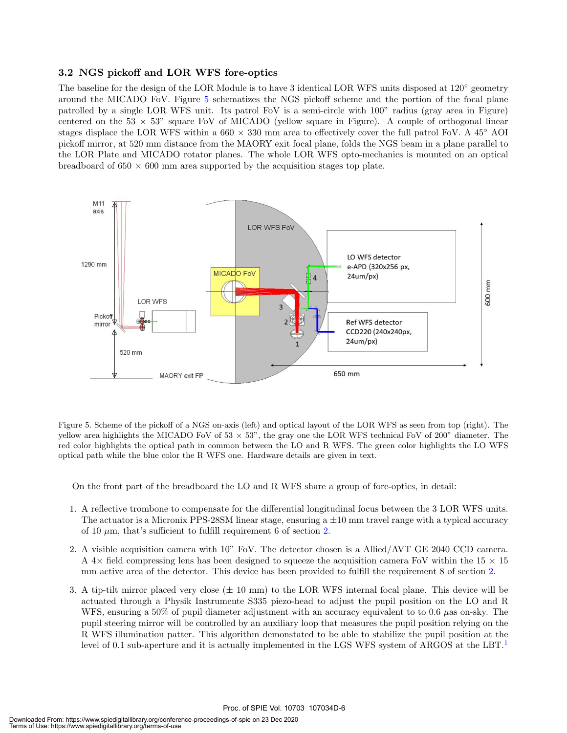#### 3.2 NGS pickoff and LOR WFS fore-optics

The baseline for the design of the LOR Module is to have 3 identical LOR WFS units disposed at 120◦ geometry around the MICADO FoV. Figure 5 schematizes the NGS pickoff scheme and the portion of the focal plane patrolled by a single LOR WFS unit. Its patrol FoV is a semi-circle with 100" radius (gray area in Figure) centered on the 53  $\times$  53" square FoV of MICADO (yellow square in Figure). A couple of orthogonal linear stages displace the LOR WFS within a  $660 \times 330$  mm area to effectively cover the full patrol FoV. A  $45^{\circ}$  AOI pickoff mirror, at 520 mm distance from the MAORY exit focal plane, folds the NGS beam in a plane parallel to the LOR Plate and MICADO rotator planes. The whole LOR WFS opto-mechanics is mounted on an optical breadboard of  $650 \times 600$  mm area supported by the acquisition stages top plate.



Figure 5. Scheme of the pickoff of a NGS on-axis (left) and optical layout of the LOR WFS as seen from top (right). The yellow area highlights the MICADO FoV of  $53 \times 53$ ", the gray one the LOR WFS technical FoV of 200" diameter. The red color highlights the optical path in common between the LO and R WFS. The green color highlights the LO WFS optical path while the blue color the R WFS one. Hardware details are given in text.

On the front part of the breadboard the LO and R WFS share a group of fore-optics, in detail:

- 1. A reflective trombone to compensate for the differential longitudinal focus between the 3 LOR WFS units. The actuator is a Micronix PPS-28SM linear stage, ensuring  $a \pm 10$  mm travel range with a typical accuracy of 10  $\mu$ m, that's sufficient to fulfill requirement 6 of section 2.
- 2. A visible acquisition camera with 10" FoV. The detector chosen is a Allied/AVT GE 2040 CCD camera. A 4 $\times$  field compressing lens has been designed to squeeze the acquisition camera FoV within the 15  $\times$  15 mm active area of the detector. This device has been provided to fulfill the requirement 8 of section 2.
- 3. A tip-tilt mirror placed very close  $(\pm 10 \text{ mm})$  to the LOR WFS internal focal plane. This device will be actuated through a Physik Instrumente S335 piezo-head to adjust the pupil position on the LO and R WFS, ensuring a 50% of pupil diameter adjustment with an accuracy equivalent to to 0.6  $\mu$ as on-sky. The pupil steering mirror will be controlled by an auxiliary loop that measures the pupil position relying on the R WFS illumination patter. This algorithm demonstated to be able to stabilize the pupil position at the level of 0.1 sub-aperture and it is actually implemented in the LGS WFS system of ARGOS at the LBT.<sup>1</sup>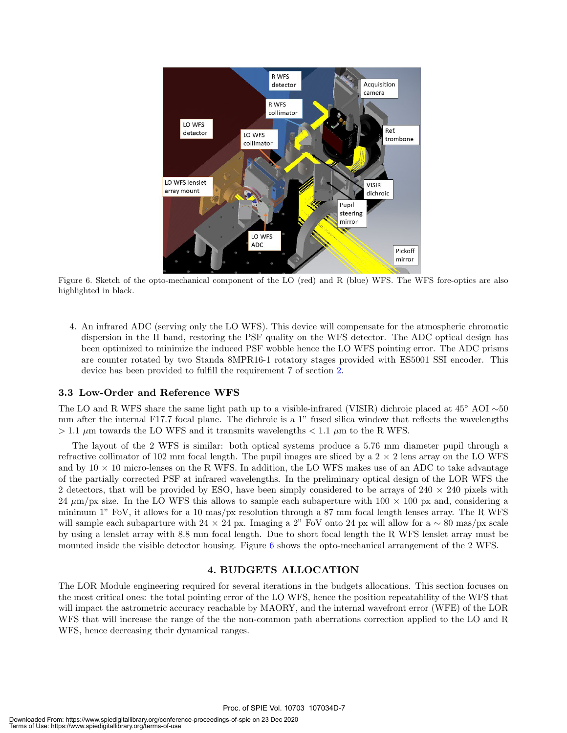

Figure 6. Sketch of the opto-mechanical component of the LO (red) and R (blue) WFS. The WFS fore-optics are also highlighted in black.

4. An infrared ADC (serving only the LO WFS). This device will compensate for the atmospheric chromatic dispersion in the H band, restoring the PSF quality on the WFS detector. The ADC optical design has been optimized to minimize the induced PSF wobble hence the LO WFS pointing error. The ADC prisms are counter rotated by two Standa 8MPR16-1 rotatory stages provided with ES5001 SSI encoder. This device has been provided to fulfill the requirement 7 of section 2.

#### 3.3 Low-Order and Reference WFS

The LO and R WFS share the same light path up to a visible-infrared (VISIR) dichroic placed at 45◦ AOI ∼50 mm after the internal F17.7 focal plane. The dichroic is a 1" fused silica window that reflects the wavelengths  $> 1.1 \mu m$  towards the LO WFS and it transmits wavelengths  $< 1.1 \mu m$  to the R WFS.

The layout of the 2 WFS is similar: both optical systems produce a 5.76 mm diameter pupil through a refractive collimator of 102 mm focal length. The pupil images are sliced by a  $2 \times 2$  lens array on the LO WFS and by  $10 \times 10$  micro-lenses on the R WFS. In addition, the LO WFS makes use of an ADC to take advantage of the partially corrected PSF at infrared wavelengths. In the preliminary optical design of the LOR WFS the 2 detectors, that will be provided by ESO, have been simply considered to be arrays of  $240 \times 240$  pixels with 24  $\mu$ m/px size. In the LO WFS this allows to sample each subaperture with 100  $\times$  100 px and, considering a minimum 1" FoV, it allows for a 10 mas/px resolution through a 87 mm focal length lenses array. The R WFS will sample each subaparture with 24  $\times$  24 px. Imaging a 2" FoV onto 24 px will allow for a  $\sim$  80 mas/px scale by using a lenslet array with 8.8 mm focal length. Due to short focal length the R WFS lenslet array must be mounted inside the visible detector housing. Figure 6 shows the opto-mechanical arrangement of the 2 WFS.

#### 4. BUDGETS ALLOCATION

The LOR Module engineering required for several iterations in the budgets allocations. This section focuses on the most critical ones: the total pointing error of the LO WFS, hence the position repeatability of the WFS that will impact the astrometric accuracy reachable by MAORY, and the internal wavefront error (WFE) of the LOR WFS that will increase the range of the the non-common path aberrations correction applied to the LO and R WFS, hence decreasing their dynamical ranges.

Proc. of SPIE Vol. 10703 107034D-7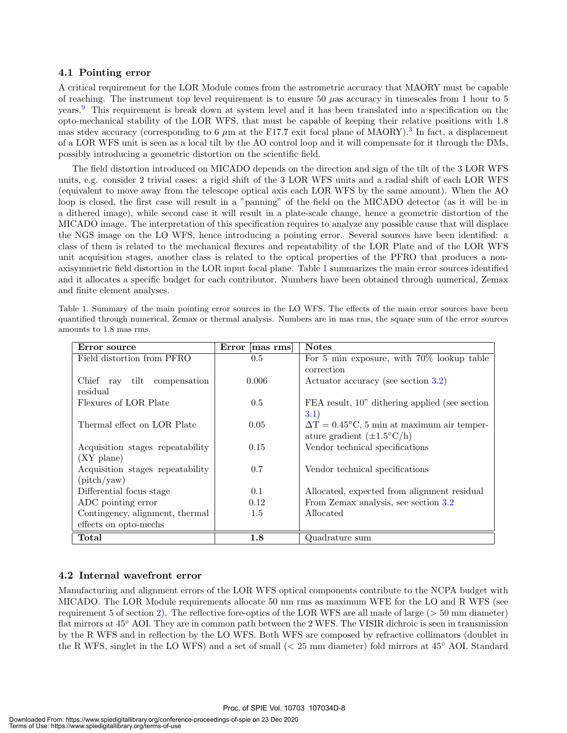#### 4.1 Pointing error

A critical requirement for the LOR Module comes from the astrometric accuracy that MAORY must be capable of reaching. The instrument top level requirement is to ensure 50  $\mu$ as accuracy in timescales from 1 hour to 5 years.<sup>9</sup> This requirement is break down at system level and it has been translated into a specification on the opto-mechanical stability of the LOR WFS, that must be capable of keeping their relative positions with 1.8 mas stdev accuracy (corresponding to 6  $\mu$ m at the F17.7 exit focal plane of MAORY).<sup>3</sup> In fact, a displacement of a LOR WFS unit is seen as a local tilt by the AO control loop and it will compensate for it through the DMs, possibly introducing a geometric distortion on the scientific field.

The field distortion introduced on MICADO depends on the direction and sign of the tilt of the 3 LOR WFS units, e.g. consider 2 trivial cases: a rigid shift of the 3 LOR WFS units and a radial shift of each LOR WFS (equivalent to move away from the telescope optical axis each LOR WFS by the same amount). When the AO loop is closed, the first case will result in a "panning" of the field on the MICADO detector (as it will be in a dithered image), while second case it will result in a plate-scale change, hence a geometric distortion of the MICADO image. The interpretation of this specification requires to analyze any possible cause that will displace the NGS image on the LO WFS, hence introducing a pointing error. Several sources have been identified: a class of them is related to the mechanical flexures and repeatability of the LOR Plate and of the LOR WFS unit acquisition stages, another class is related to the optical properties of the PFRO that produces a nonaxisymmetric field distortion in the LOR input focal plane. Table 1 summarizes the main error sources identified and it allocates a specific budget for each contributor. Numbers have been obtained through numerical, Zemax and finite element analyses.

Table 1. Summary of the main pointing error sources in the LO WFS. The effects of the main error sources have been quantified through numerical, Zemax or thermal analysis. Numbers are in mas rms, the square sum of the error sources amounts to 1.8 mas rms.

| Error source                                                   | Error [mas rms] | <b>Notes</b>                                              |
|----------------------------------------------------------------|-----------------|-----------------------------------------------------------|
| Field distortion from PFRO                                     | 0.5             | For 5 min exposure, with 70% lookup table                 |
|                                                                |                 | correction                                                |
| $\operatorname{tilt}$<br>Chief ray<br>compensation<br>residual | 0.006           | Actuator accuracy (see section 3.2)                       |
| Flexures of LOR Plate                                          | 0.5             | FEA result, 10" dithering applied (see section            |
|                                                                |                 | 3.1)                                                      |
| Thermal effect on LOR Plate                                    | 0.05            | $\Delta T = 0.45^{\circ}$ C, 5 min at maximum air temper- |
|                                                                |                 | ature gradient $(\pm 1.5^{\circ}\mathrm{C/h})$            |
| Acquisition stages repeatability                               | 0.15            | Vendor technical specifications                           |
| $(XY \text{ plane})$                                           |                 |                                                           |
| Acquisition stages repeatability                               | 0.7             | Vendor technical specifications                           |
| $(\text{pitch}/\text{yaw})$                                    |                 |                                                           |
| Differential focus stage                                       | 0.1             | Allocated, expected from alignment residual               |
| ADC pointing error                                             | 0.12            | From Zemax analysis, see section 3.2                      |
| Contingency, alignment, thermal                                | 1.5             | Allocated                                                 |
| effects on opto-mechs                                          |                 |                                                           |
| Total                                                          | $1.8\,$         | $\it Quadrature~sum$                                      |

#### 4.2 Internal wavefront error

Manufacturing and alignment errors of the LOR WFS optical components contribute to the NCPA budget with MICADO. The LOR Module requirements allocate 50 nm rms as maximum WFE for the LO and R WFS (see requirement 5 of section 2). The reflective fore-optics of the LOR WFS are all made of large (> 50 mm diameter) flat mirrors at 45° AOI. They are in common path between the 2 WFS. The VISIR dichroic is seen in transmission by the R WFS and in reflection by the LO WFS. Both WFS are composed by refractive collimators (doublet in the R WFS, singlet in the LO WFS) and a set of small (< 25 mm diameter) fold mirrors at 45◦ AOI. Standard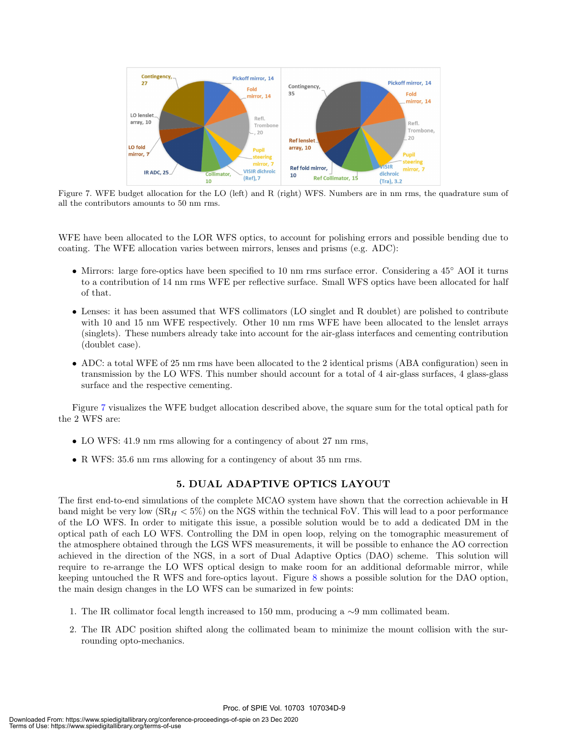

Figure 7. WFE budget allocation for the LO (left) and R (right) WFS. Numbers are in nm rms, the quadrature sum of all the contributors amounts to 50 nm rms.

WFE have been allocated to the LOR WFS optics, to account for polishing errors and possible bending due to coating. The WFE allocation varies between mirrors, lenses and prisms (e.g. ADC):

- Mirrors: large fore-optics have been specified to 10 nm rms surface error. Considering a 45◦ AOI it turns to a contribution of 14 nm rms WFE per reflective surface. Small WFS optics have been allocated for half of that.
- Lenses: it has been assumed that WFS collimators (LO singlet and R doublet) are polished to contribute with 10 and 15 nm WFE respectively. Other 10 nm rms WFE have been allocated to the lenslet arrays (singlets). These numbers already take into account for the air-glass interfaces and cementing contribution (doublet case).
- ADC: a total WFE of 25 nm rms have been allocated to the 2 identical prisms (ABA configuration) seen in transmission by the LO WFS. This number should account for a total of 4 air-glass surfaces, 4 glass-glass surface and the respective cementing.

Figure 7 visualizes the WFE budget allocation described above, the square sum for the total optical path for the 2 WFS are:

- LO WFS: 41.9 nm rms allowing for a contingency of about 27 nm rms,
- R WFS: 35.6 nm rms allowing for a contingency of about 35 nm rms.

#### 5. DUAL ADAPTIVE OPTICS LAYOUT

The first end-to-end simulations of the complete MCAO system have shown that the correction achievable in H band might be very low  $(SR_H < 5\%)$  on the NGS within the technical FoV. This will lead to a poor performance of the LO WFS. In order to mitigate this issue, a possible solution would be to add a dedicated DM in the optical path of each LO WFS. Controlling the DM in open loop, relying on the tomographic measurement of the atmosphere obtained through the LGS WFS measurements, it will be possible to enhance the AO correction achieved in the direction of the NGS, in a sort of Dual Adaptive Optics (DAO) scheme. This solution will require to re-arrange the LO WFS optical design to make room for an additional deformable mirror, while keeping untouched the R WFS and fore-optics layout. Figure 8 shows a possible solution for the DAO option, the main design changes in the LO WFS can be sumarized in few points:

- 1. The IR collimator focal length increased to 150 mm, producing a ∼9 mm collimated beam.
- 2. The IR ADC position shifted along the collimated beam to minimize the mount collision with the surrounding opto-mechanics.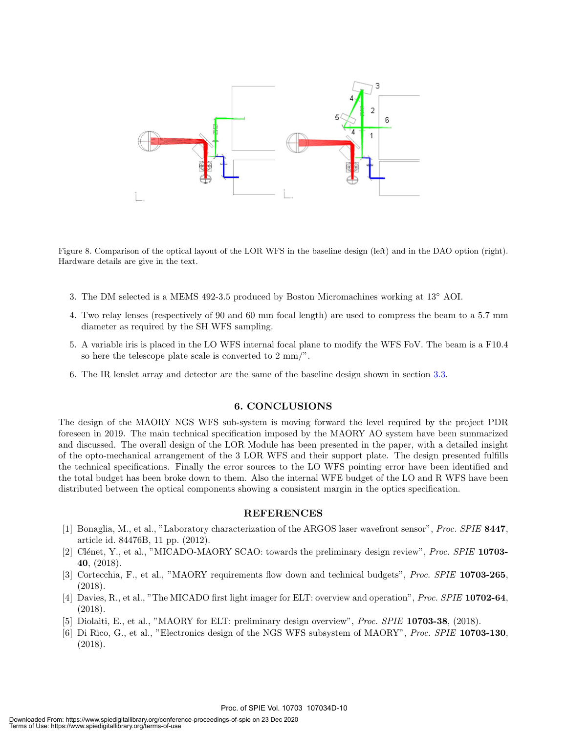

Figure 8. Comparison of the optical layout of the LOR WFS in the baseline design (left) and in the DAO option (right). Hardware details are give in the text.

- 3. The DM selected is a MEMS 492-3.5 produced by Boston Micromachines working at 13◦ AOI.
- 4. Two relay lenses (respectively of 90 and 60 mm focal length) are used to compress the beam to a 5.7 mm diameter as required by the SH WFS sampling.
- 5. A variable iris is placed in the LO WFS internal focal plane to modify the WFS FoV. The beam is a F10.4 so here the telescope plate scale is converted to 2 mm/".
- 6. The IR lenslet array and detector are the same of the baseline design shown in section 3.3.

#### 6. CONCLUSIONS

The design of the MAORY NGS WFS sub-system is moving forward the level required by the project PDR foreseen in 2019. The main technical specification imposed by the MAORY AO system have been summarized and discussed. The overall design of the LOR Module has been presented in the paper, with a detailed insight of the opto-mechanical arrangement of the 3 LOR WFS and their support plate. The design presented fulfills the technical specifications. Finally the error sources to the LO WFS pointing error have been identified and the total budget has been broke down to them. Also the internal WFE budget of the LO and R WFS have been distributed between the optical components showing a consistent margin in the optics specification.

#### REFERENCES

- [1] Bonaglia, M., et al., "Laboratory characterization of the ARGOS laser wavefront sensor", Proc. SPIE 8447, article id. 84476B, 11 pp. (2012).
- [2] Clénet, Y., et al., "MICADO-MAORY SCAO: towards the preliminary design review", *Proc. SPIE* 10703-40, (2018).
- [3] Cortecchia, F., et al., "MAORY requirements flow down and technical budgets", Proc. SPIE 10703-265, (2018).
- [4] Davies, R., et al., "The MICADO first light imager for ELT: overview and operation", *Proc. SPIE* 10702-64, (2018).
- [5] Diolaiti, E., et al., "MAORY for ELT: preliminary design overview", Proc. SPIE 10703-38, (2018).
- [6] Di Rico, G., et al., "Electronics design of the NGS WFS subsystem of MAORY", Proc. SPIE 10703-130, (2018).